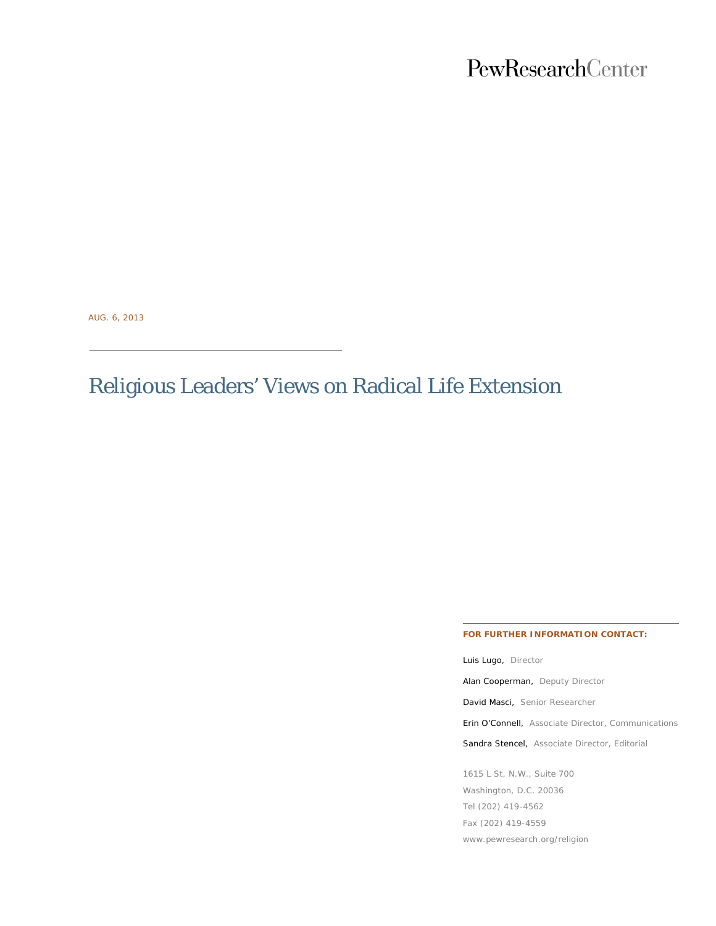## PewResearchCenter

AUG. 6, 2013

# Religious Leaders' Views on Radical Life Extension

#### **FOR FURTHER INFORMATION CONTACT:**

Luis Lugo, Director Alan Cooperman, Deputy Director David Masci, Senior Researcher Erin O'Connell, Associate Director, Communications Sandra Stencel, Associate Director, Editorial 1615 L St, N.W., Suite 700 Washington, D.C. 20036 Tel (202) 419-4562

Fax (202) 419-4559

www.pewresearch.org/religion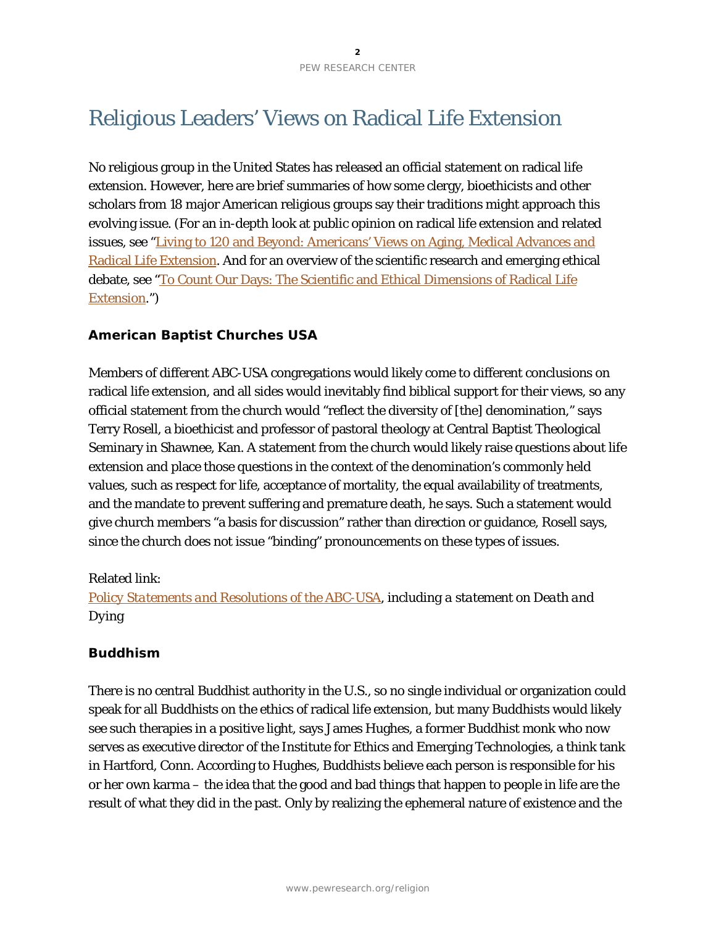## Religious Leaders' Views on Radical Life Extension

No religious group in the United States has released an official statement on radical life extension. However, here are brief summaries of how some clergy, bioethicists and other scholars from 18 major American religious groups say their traditions might approach this evolving issue. (For an in-depth look at public opinion on radical life extension and related issues, see ["Living to 120 and Beyond: Americans' Views on Aging, Medical Advances and](http://www.pewforum.org/2013/08/06/living-to-120-and-beyond-americans-views-on-aging-medical-advances-and-radical-life-extension)  [Radical Life Extension.](http://www.pewforum.org/2013/08/06/living-to-120-and-beyond-americans-views-on-aging-medical-advances-and-radical-life-extension) And for an overview of the scientific research and emerging ethical debate, see ["To Count Our Days: The Scientific and Ethical Dimensions of Radical Life](http://www.pewforum.org/2013/08/06/to-count-our-days-the-scientific-and-ethical-dimensions-of-radical-life-extension)  [Extension.](http://www.pewforum.org/2013/08/06/to-count-our-days-the-scientific-and-ethical-dimensions-of-radical-life-extension)")

## **American Baptist Churches USA**

Members of different ABC-USA congregations would likely come to different conclusions on radical life extension, and all sides would inevitably find biblical support for their views, so any official statement from the church would "reflect the diversity of [the] denomination," says Terry Rosell, a bioethicist and professor of pastoral theology at Central Baptist Theological Seminary in Shawnee, Kan. A statement from the church would likely raise questions about life extension and place those questions in the context of the denomination's commonly held values, such as respect for life, acceptance of mortality, the equal availability of treatments, and the mandate to prevent suffering and premature death, he says. Such a statement would give church members "a basis for discussion" rather than direction or guidance, Rosell says, since the church does not issue "binding" pronouncements on these types of issues.

## Related link:

*[Policy Statements and Resolutions](http://www.abc-usa.org/resources/abcusa-resources/abcusa-documents/policy-statements-and-resolutions/) of the ABC-USA, including a statement on [Death and](http://www.abc-usa.org/wp-content/uploads/2012/06/Death-and-Dying.pdf)  [Dying](http://www.abc-usa.org/wp-content/uploads/2012/06/Death-and-Dying.pdf)*

## **Buddhism**

There is no central Buddhist authority in the U.S., so no single individual or organization could speak for all Buddhists on the ethics of radical life extension, but many Buddhists would likely see such therapies in a positive light, says James Hughes, a former Buddhist monk who now serves as executive director of the Institute for Ethics and Emerging Technologies, a think tank in Hartford, Conn. According to Hughes, Buddhists believe each person is responsible for his or her own karma – the idea that the good and bad things that happen to people in life are the result of what they did in the past. Only by realizing the ephemeral nature of existence and the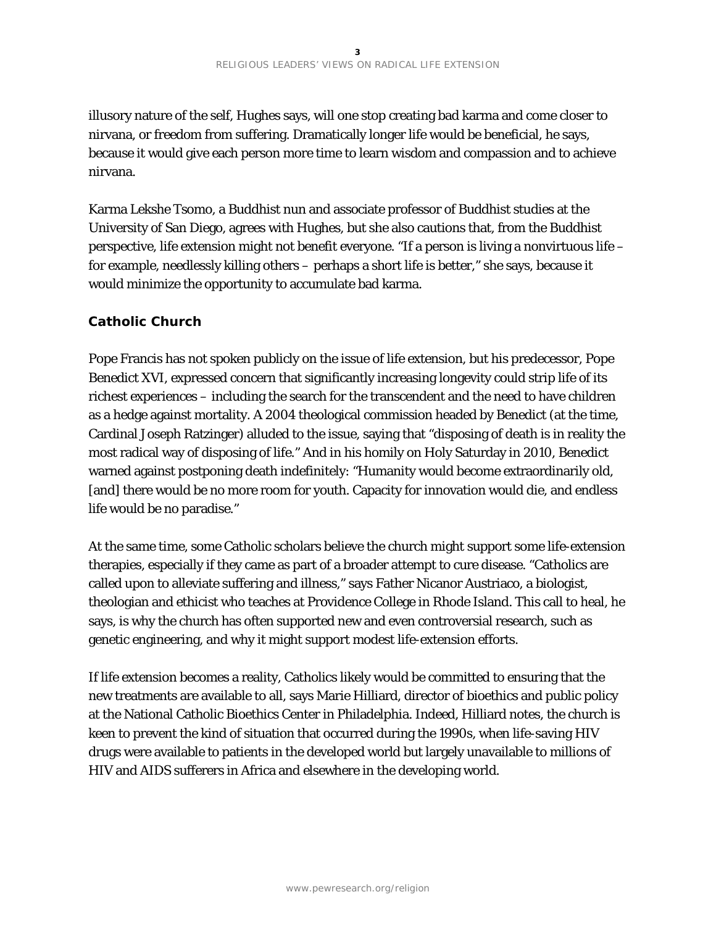illusory nature of the self, Hughes says, will one stop creating bad karma and come closer to nirvana, or freedom from suffering. Dramatically longer life would be beneficial, he says, because it would give each person more time to learn wisdom and compassion and to achieve nirvana.

Karma Lekshe Tsomo, a Buddhist nun and associate professor of Buddhist studies at the University of San Diego, agrees with Hughes, but she also cautions that, from the Buddhist perspective, life extension might not benefit everyone. "If a person is living a nonvirtuous life – for example, needlessly killing others – perhaps a short life is better," she says, because it would minimize the opportunity to accumulate bad karma.

## **Catholic Church**

Pope Francis has not spoken publicly on the issue of life extension, but his predecessor, Pope Benedict XVI, expressed concern that significantly increasing longevity could strip life of its richest experiences – including the search for the transcendent and the need to have children as a hedge against mortality. A 2004 theological commission headed by Benedict (at the time, Cardinal Joseph Ratzinger) alluded to the issue, saying that "disposing of death is in reality the most radical way of disposing of life." And in his homily on Holy Saturday in 2010, Benedict warned against postponing death indefinitely: "Humanity would become extraordinarily old, [and] there would be no more room for youth. Capacity for innovation would die, and endless life would be no paradise."

At the same time, some Catholic scholars believe the church might support some life-extension therapies, especially if they came as part of a broader attempt to cure disease. "Catholics are called upon to alleviate suffering and illness," says Father Nicanor Austriaco, a biologist, theologian and ethicist who teaches at Providence College in Rhode Island. This call to heal, he says, is why the church has often supported new and even controversial research, such as genetic engineering, and why it might support modest life-extension efforts.

If life extension becomes a reality, Catholics likely would be committed to ensuring that the new treatments are available to all, says Marie Hilliard, director of bioethics and public policy at the National Catholic Bioethics Center in Philadelphia. Indeed, Hilliard notes, the church is keen to prevent the kind of situation that occurred during the 1990s, when life-saving HIV drugs were available to patients in the developed world but largely unavailable to millions of HIV and AIDS sufferers in Africa and elsewhere in the developing world.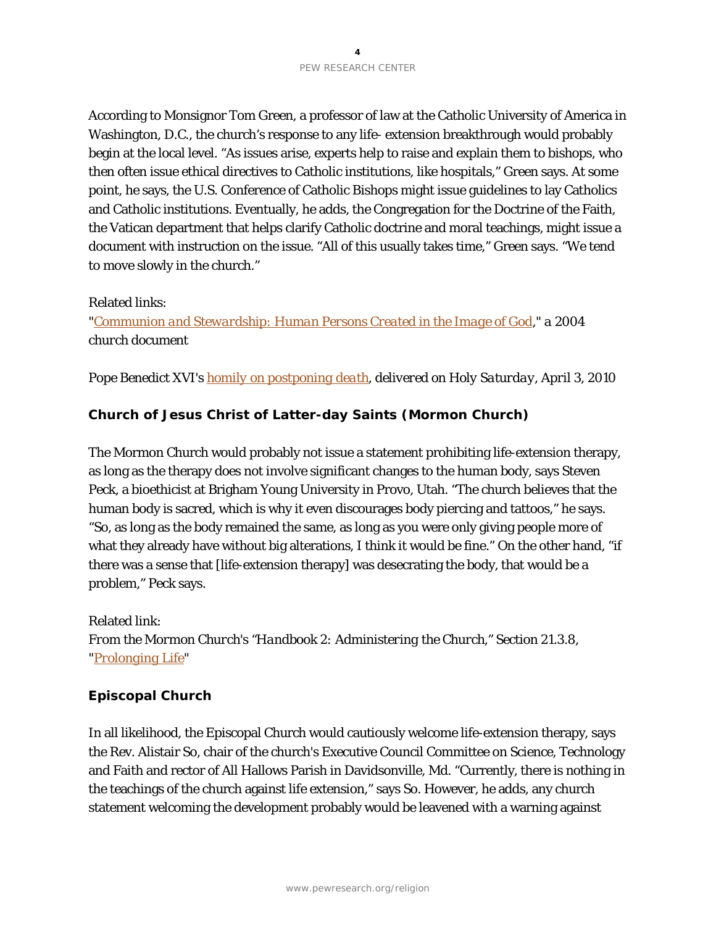According to Monsignor Tom Green, a professor of law at the Catholic University of America in Washington, D.C., the church's response to any life- extension breakthrough would probably begin at the local level. "As issues arise, experts help to raise and explain them to bishops, who then often issue ethical directives to Catholic institutions, like hospitals," Green says. At some point, he says, the U.S. Conference of Catholic Bishops might issue guidelines to lay Catholics and Catholic institutions. Eventually, he adds, the Congregation for the Doctrine of the Faith, the Vatican department that helps clarify Catholic doctrine and moral teachings, might issue a document with instruction on the issue. "All of this usually takes time," Green says. "We tend to move slowly in the church."

## Related links:

*["Communion and Stewardship: Human Persons Created in the Image of God,](http://www.vatican.va/roman_curia/congregations/cfaith/cti_documents/rc_con_cfaith_doc_20040723_communion-stewardship_en.html)" a 2004 church document*

*Pope Benedict XVI's homily [on postponing death,](http://www.vatican.va/holy_father/benedict_xvi/homilies/2010/documents/hf_ben-xvi_hom_20100403_veglia-pasquale_en.html) delivered on Holy Saturday, April 3, 2010*

## **Church of Jesus Christ of Latter-day Saints (Mormon Church)**

The Mormon Church would probably not issue a statement prohibiting life-extension therapy, as long as the therapy does not involve significant changes to the human body, says Steven Peck, a bioethicist at Brigham Young University in Provo, Utah. "The church believes that the human body is sacred, which is why it even discourages body piercing and tattoos," he says. "So, as long as the body remained the same, as long as you were only giving people more of what they already have without big alterations, I think it would be fine." On the other hand, "if there was a sense that [life-extension therapy] was desecrating the body, that would be a problem," Peck says.

Related link: *From the Mormon Church's "Handbook 2: Administering the Church," Section 21.3.8, ["Prolonging Life"](http://www.lds.org/handbook/handbook-2-administering-the-church/selected-church-policies/21.3.8?lang=eng#213)*

## **Episcopal Church**

In all likelihood, the Episcopal Church would cautiously welcome life-extension therapy, says the Rev. Alistair So, chair of the church's Executive Council Committee on Science, Technology and Faith and rector of All Hallows Parish in Davidsonville, Md. "Currently, there is nothing in the teachings of the church against life extension," says So. However, he adds, any church statement welcoming the development probably would be leavened with a warning against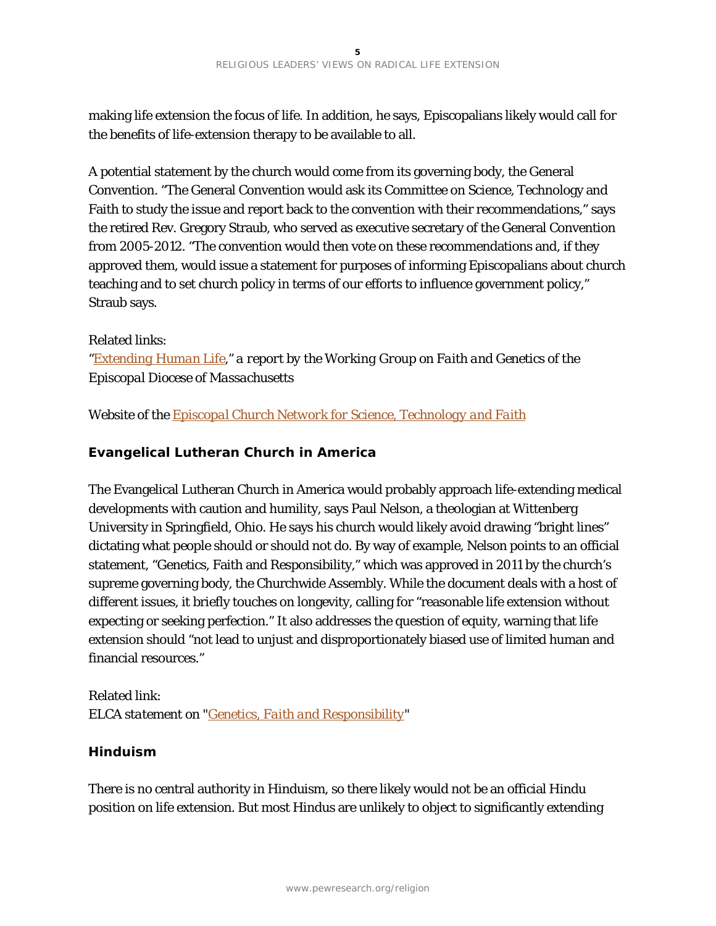making life extension the focus of life. In addition, he says, Episcopalians likely would call for the benefits of life-extension therapy to be available to all.

A potential statement by the church would come from its governing body, the General Convention. "The General Convention would ask its Committee on Science, Technology and Faith to study the issue and report back to the convention with their recommendations," says the retired Rev. Gregory Straub, who served as executive secretary of the General Convention from 2005-2012. "The convention would then vote on these recommendations and, if they approved them, would issue a statement for purposes of informing Episcopalians about church teaching and to set church policy in terms of our efforts to influence government policy," Straub says.

#### Related links:

*["Extending Human Life,](http://www.scribd.com/doc/57360843/Extending-Human-Life)" a report by the Working Group on Faith and Genetics of the Episcopal Diocese of Massachusetts*

*Website of the [Episcopal Church Network for Science, Technology and Faith](http://episcopalscience.org/)*

## **Evangelical Lutheran Church in America**

The Evangelical Lutheran Church in America would probably approach life-extending medical developments with caution and humility, says Paul Nelson, a theologian at Wittenberg University in Springfield, Ohio. He says his church would likely avoid drawing "bright lines" dictating what people should or should not do. By way of example, Nelson points to an official statement, "Genetics, Faith and Responsibility," which was approved in 2011 by the church's supreme governing body, the Churchwide Assembly. While the document deals with a host of different issues, it briefly touches on longevity, calling for "reasonable life extension without expecting or seeking perfection." It also addresses the question of equity, warning that life extension should "not lead to unjust and disproportionately biased use of limited human and financial resources."

## Related link: *ELCA statement on ["Genetics, Faith and Responsibility"](http://www.elca.org/What-We-Believe/Social-Issues/Social-Statements/Genetics.aspx#read)*

## **Hinduism**

There is no central authority in Hinduism, so there likely would not be an official Hindu position on life extension. But most Hindus are unlikely to object to significantly extending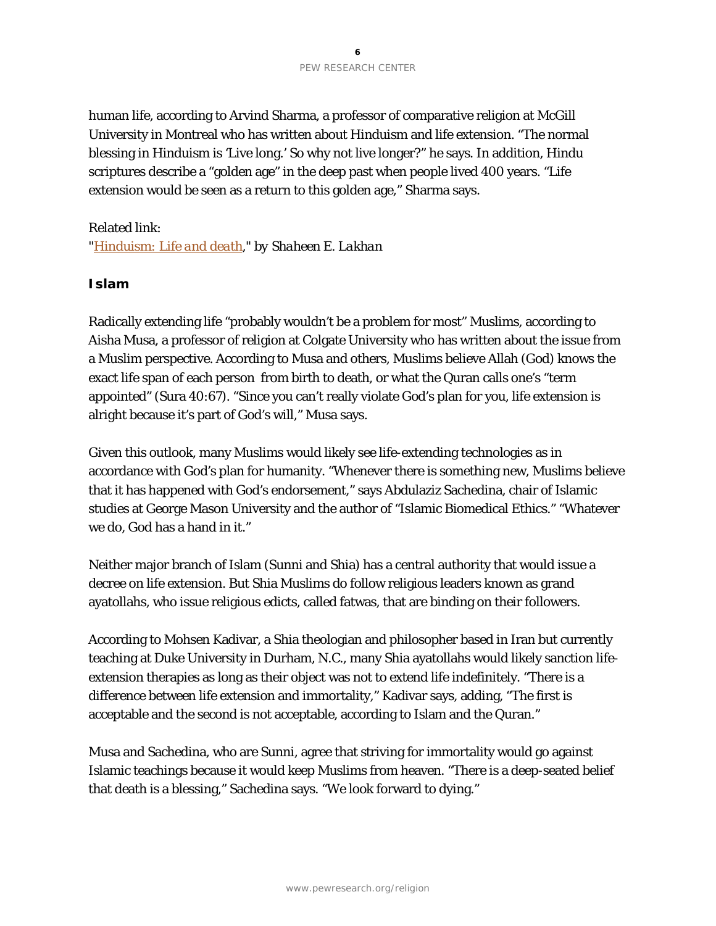human life, according to Arvind Sharma, a professor of comparative religion at McGill University in Montreal who has written about Hinduism and life extension. "The normal blessing in Hinduism is 'Live long.' So why not live longer?" he says. In addition, Hindu scriptures describe a "golden age" in the deep past when people lived 400 years. "Life extension would be seen as a return to this golden age," Sharma says.

## Related link:

*["Hinduism: Life and](http://www.globalmedicine.nl/images/stories/GM5/pdf/GM5-hinduism.pdf) death," by Shaheen E. Lakhan*

#### **Islam**

Radically extending life "probably wouldn't be a problem for most" Muslims, according to Aisha Musa, a professor of religion at Colgate University who has written about the issue from a Muslim perspective. According to Musa and others, Muslims believe Allah (God) knows the exact life span of each person from birth to death, or what the Quran calls one's "term appointed" (Sura 40:67). "Since you can't really violate God's plan for you, life extension is alright because it's part of God's will," Musa says.

Given this outlook, many Muslims would likely see life-extending technologies as in accordance with God's plan for humanity. "Whenever there is something new, Muslims believe that it has happened with God's endorsement," says Abdulaziz Sachedina, chair of Islamic studies at George Mason University and the author of "Islamic Biomedical Ethics." "Whatever we do, God has a hand in it."

Neither major branch of Islam (Sunni and Shia) has a central authority that would issue a decree on life extension. But Shia Muslims do follow religious leaders known as grand ayatollahs, who issue religious edicts, called fatwas, that are binding on their followers.

According to Mohsen Kadivar, a Shia theologian and philosopher based in Iran but currently teaching at Duke University in Durham, N.C., many Shia ayatollahs would likely sanction lifeextension therapies as long as their object was not to extend life indefinitely. "There is a difference between life extension and immortality," Kadivar says, adding, "The first is acceptable and the second is not acceptable, according to Islam and the Quran."

Musa and Sachedina, who are Sunni, agree that striving for immortality would go against Islamic teachings because it would keep Muslims from heaven. "There is a deep-seated belief that death is a blessing," Sachedina says. "We look forward to dying."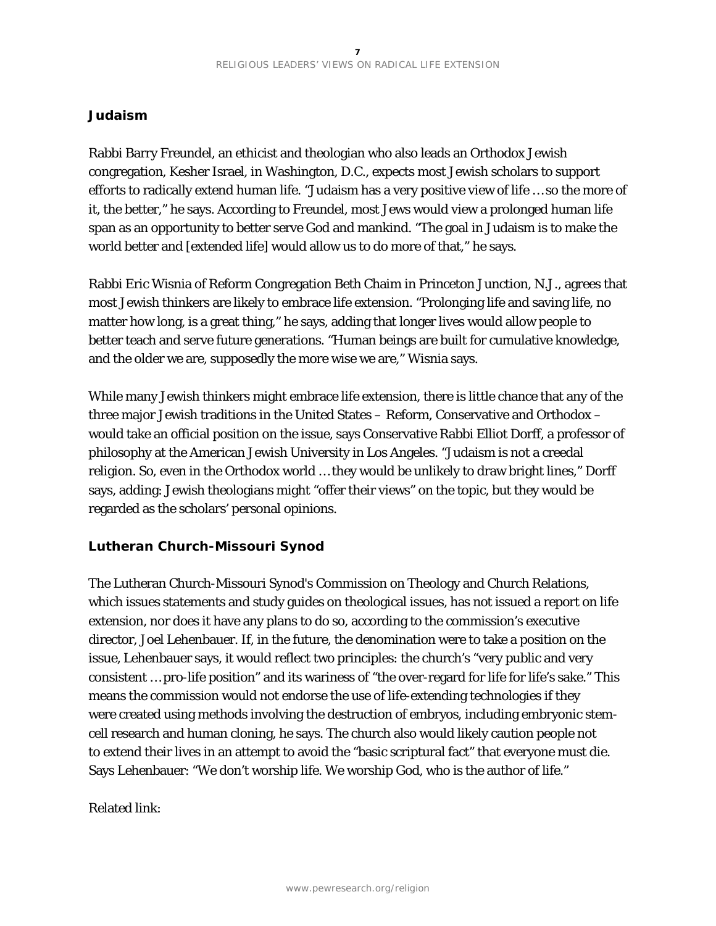## **Judaism**

Rabbi Barry Freundel, an ethicist and theologian who also leads an Orthodox Jewish congregation, Kesher Israel, in Washington, D.C., expects most Jewish scholars to support efforts to radically extend human life. "Judaism has a very positive view of life … so the more of it, the better," he says. According to Freundel, most Jews would view a prolonged human life span as an opportunity to better serve God and mankind. "The goal in Judaism is to make the world better and [extended life] would allow us to do more of that," he says.

Rabbi Eric Wisnia of Reform Congregation Beth Chaim in Princeton Junction, N.J., agrees that most Jewish thinkers are likely to embrace life extension. "Prolonging life and saving life, no matter how long, is a great thing," he says, adding that longer lives would allow people to better teach and serve future generations. "Human beings are built for cumulative knowledge, and the older we are, supposedly the more wise we are," Wisnia says.

While many Jewish thinkers might embrace life extension, there is little chance that any of the three major Jewish traditions in the United States – Reform, Conservative and Orthodox – would take an official position on the issue, says Conservative Rabbi Elliot Dorff, a professor of philosophy at the American Jewish University in Los Angeles. "Judaism is not a creedal religion. So, even in the Orthodox world … they would be unlikely to draw bright lines," Dorff says, adding: Jewish theologians might "offer their views" on the topic, but they would be regarded as the scholars' personal opinions.

## **Lutheran Church-Missouri Synod**

The Lutheran Church-Missouri Synod's Commission on Theology and Church Relations, which issues statements and study guides on theological issues, has not issued a report on life extension, nor does it have any plans to do so, according to the commission's executive director, Joel Lehenbauer. If, in the future, the denomination were to take a position on the issue, Lehenbauer says, it would reflect two principles: the church's "very public and very consistent … pro-life position" and its wariness of "the over-regard for life for life's sake." This means the commission would not endorse the use of life-extending technologies if they were created using methods involving the destruction of embryos, including embryonic stemcell research and human cloning, he says. The church also would likely caution people not to extend their lives in an attempt to avoid the "basic scriptural fact" that everyone must die. Says Lehenbauer: "We don't worship life. We worship God, who is the author of life."

Related link: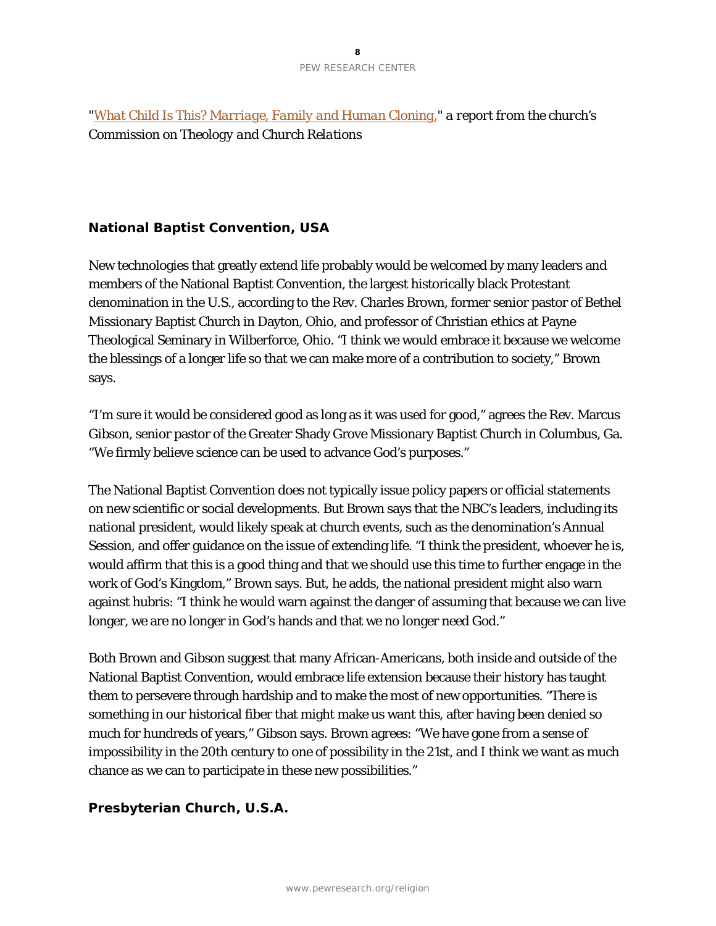*["What Child Is This? Marriage, Family and Human Cloning,](http://lcms.org/page.aspx?pid=726&DocID=355)" a report from the church's Commission on Theology and Church Relations*

## **National Baptist Convention, USA**

New technologies that greatly extend life probably would be welcomed by many leaders and members of the National Baptist Convention, the largest historically black Protestant denomination in the U.S., according to the Rev. Charles Brown, former senior pastor of Bethel Missionary Baptist Church in Dayton, Ohio, and professor of Christian ethics at Payne Theological Seminary in Wilberforce, Ohio. "I think we would embrace it because we welcome the blessings of a longer life so that we can make more of a contribution to society," Brown says.

"I'm sure it would be considered good as long as it was used for good," agrees the Rev. Marcus Gibson, senior pastor of the Greater Shady Grove Missionary Baptist Church in Columbus, Ga. "We firmly believe science can be used to advance God's purposes."

The National Baptist Convention does not typically issue policy papers or official statements on new scientific or social developments. But Brown says that the NBC's leaders, including its national president, would likely speak at church events, such as the denomination's Annual Session, and offer guidance on the issue of extending life. "I think the president, whoever he is, would affirm that this is a good thing and that we should use this time to further engage in the work of God's Kingdom," Brown says. But, he adds, the national president might also warn against hubris: "I think he would warn against the danger of assuming that because we can live longer, we are no longer in God's hands and that we no longer need God."

Both Brown and Gibson suggest that many African-Americans, both inside and outside of the National Baptist Convention, would embrace life extension because their history has taught them to persevere through hardship and to make the most of new opportunities. "There is something in our historical fiber that might make us want this, after having been denied so much for hundreds of years," Gibson says. Brown agrees: "We have gone from a sense of impossibility in the 20th century to one of possibility in the 21st, and I think we want as much chance as we can to participate in these new possibilities."

## **Presbyterian Church, U.S.A.**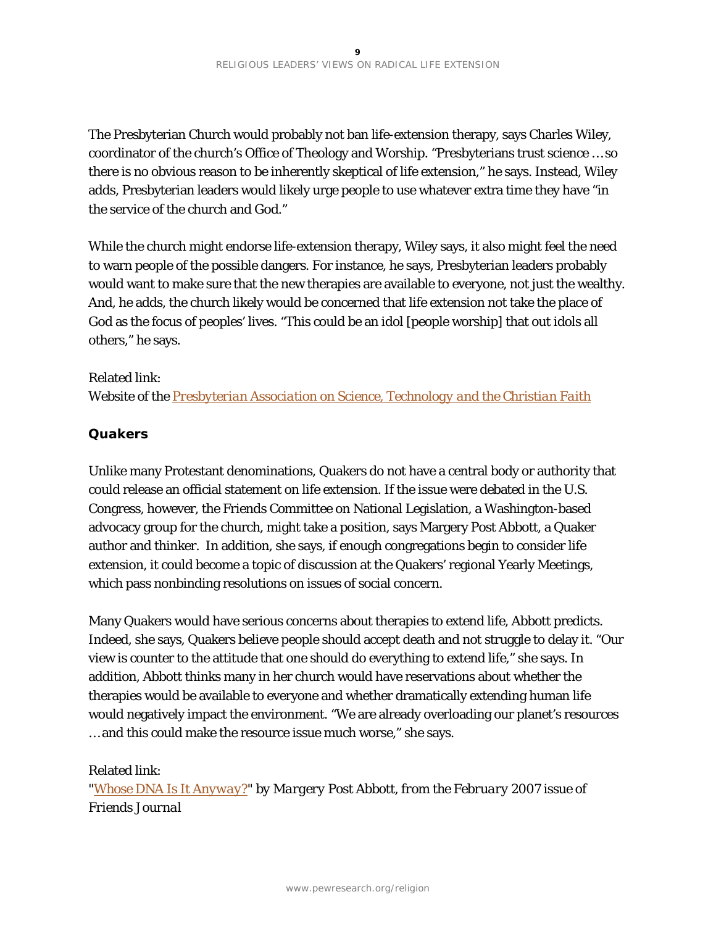The Presbyterian Church would probably not ban life-extension therapy, says Charles Wiley, coordinator of the church's Office of Theology and Worship. "Presbyterians trust science … so there is no obvious reason to be inherently skeptical of life extension," he says. Instead, Wiley adds, Presbyterian leaders would likely urge people to use whatever extra time they have "in the service of the church and God."

While the church might endorse life-extension therapy, Wiley says, it also might feel the need to warn people of the possible dangers. For instance, he says, Presbyterian leaders probably would want to make sure that the new therapies are available to everyone, not just the wealthy. And, he adds, the church likely would be concerned that life extension not take the place of God as the focus of peoples' lives. "This could be an idol [people worship] that out idols all others," he says.

#### Related link:

*Website of the [Presbyterian Association on Science, Technology and the Christian Faith](http://www.pastcf.org/)*

## **Quakers**

Unlike many Protestant denominations, Quakers do not have a central body or authority that could release an official statement on life extension. If the issue were debated in the U.S. Congress, however, the Friends Committee on National Legislation, a Washington-based advocacy group for the church, might take a position, says Margery Post Abbott, a Quaker author and thinker. In addition, she says, if enough congregations begin to consider life extension, it could become a topic of discussion at the Quakers' regional Yearly Meetings, which pass nonbinding resolutions on issues of social concern.

Many Quakers would have serious concerns about therapies to extend life, Abbott predicts. Indeed, she says, Quakers believe people should accept death and not struggle to delay it. "Our view is counter to the attitude that one should do everything to extend life," she says. In addition, Abbott thinks many in her church would have reservations about whether the therapies would be available to everyone and whether dramatically extending human life would negatively impact the environment. "We are already overloading our planet's resources … and this could make the resource issue much worse," she says.

## Related link:

*["Whose DNA Is It Anyway?"](http://www.friendsjournal.org/2007015/) by Margery Post Abbott, from the February 2007 issue of Friends Journal*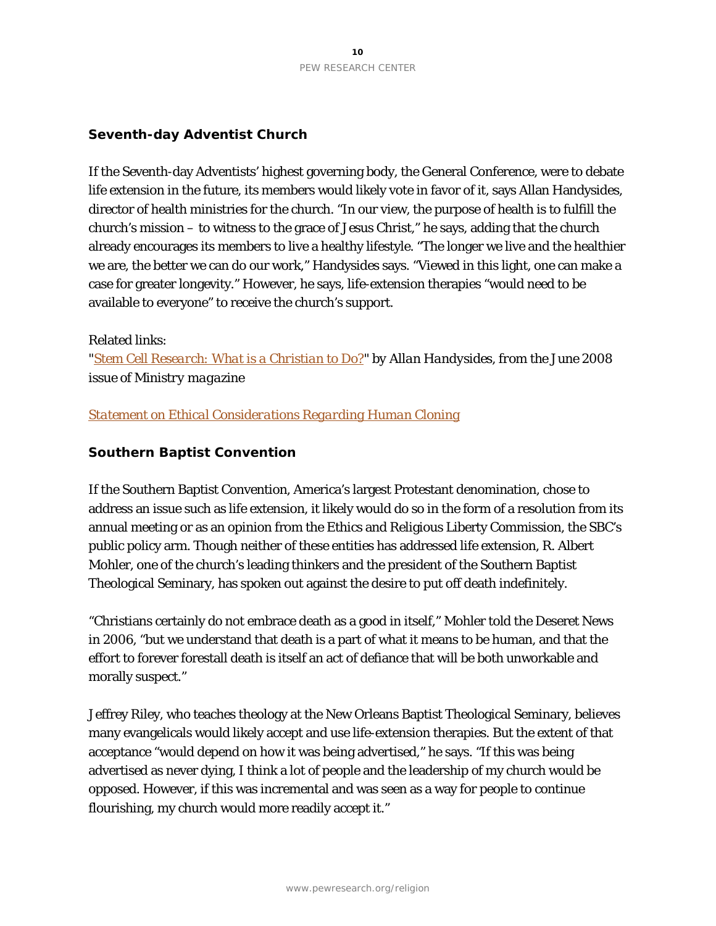## **Seventh-day Adventist Church**

If the Seventh-day Adventists' highest governing body, the General Conference, were to debate life extension in the future, its members would likely vote in favor of it, says Allan Handysides, director of health ministries for the church. "In our view, the purpose of health is to fulfill the church's mission – to witness to the grace of Jesus Christ," he says, adding that the church already encourages its members to live a healthy lifestyle. "The longer we live and the healthier we are, the better we can do our work," Handysides says. "Viewed in this light, one can make a case for greater longevity." However, he says, life-extension therapies "would need to be available to everyone" to receive the church's support.

#### Related links:

*["Stem Cell Research: What is a Christian to Do?"](https://www.ministrymagazine.org/archive/2008/06/stem-cell-research.html) by Allan Handysides, from the June 2008 issue of Ministry magazine*

## *[Statement on Ethical Considerations Regarding Human Cloning](http://adventist.org/beliefs/statements/main-stat38.html)*

## **Southern Baptist Convention**

If the Southern Baptist Convention, America's largest Protestant denomination, chose to address an issue such as life extension, it likely would do so in the form of a resolution from its annual meeting or as an opinion from the Ethics and Religious Liberty Commission, the SBC's public policy arm. Though neither of these entities has addressed life extension, R. Albert Mohler, one of the church's leading thinkers and the president of the Southern Baptist Theological Seminary, has spoken out against the desire to put off death indefinitely.

"Christians certainly do not embrace death as a good in itself," Mohler told the Deseret News in 2006, "but we understand that death is a part of what it means to be human, and that the effort to forever forestall death is itself an act of defiance that will be both unworkable and morally suspect."

Jeffrey Riley, who teaches theology at the New Orleans Baptist Theological Seminary, believes many evangelicals would likely accept and use life-extension therapies. But the extent of that acceptance "would depend on how it was being advertised," he says. "If this was being advertised as never dying, I think a lot of people and the leadership of my church would be opposed. However, if this was incremental and was seen as a way for people to continue flourishing, my church would more readily accept it."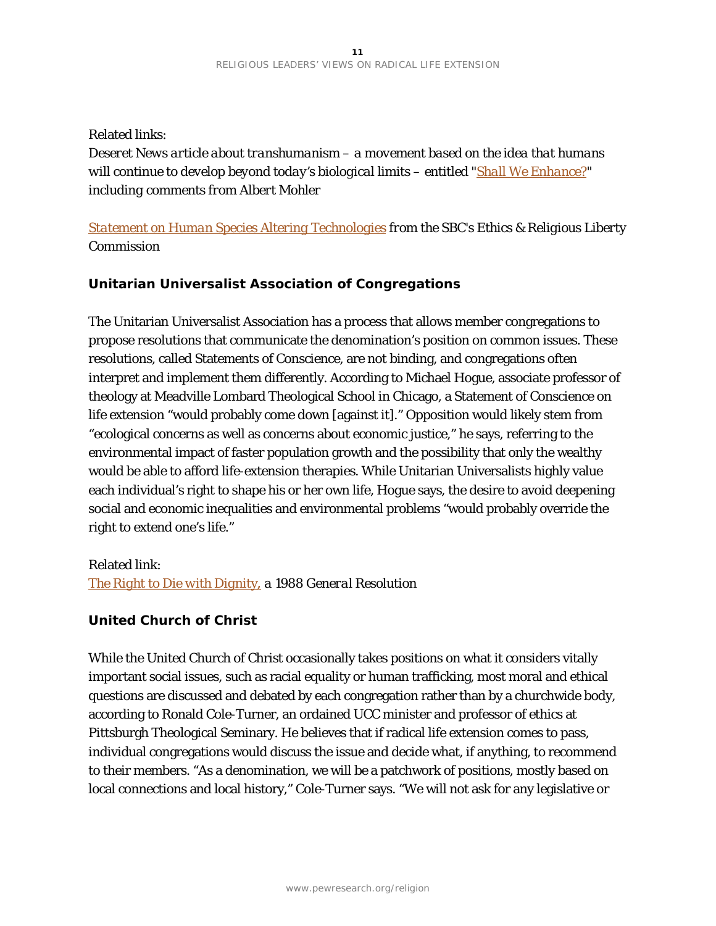## Related links:

*Deseret News article about transhumanism – a movement based on the idea that humans will continue to develop beyond today's biological limits – entitled ["Shall We Enhance?"](http://www.deseretnews.com/article/635174444/Shall-we-enhance.html?pg=1) including comments from Albert Mohler*

## *[Statement on Human Species Altering Technologies](http://erlc.com/article/statement-on-human-species-altering-technologies/) from the SBC's Ethics & Religious Liberty Commission*

## **Unitarian Universalist Association of Congregations**

The Unitarian Universalist Association has a process that allows member congregations to propose resolutions that communicate the denomination's position on common issues. These resolutions, called Statements of Conscience, are not binding, and congregations often interpret and implement them differently. According to Michael Hogue, associate professor of theology at Meadville Lombard Theological School in Chicago, a Statement of Conscience on life extension "would probably come down [against it]." Opposition would likely stem from "ecological concerns as well as concerns about economic justice," he says, referring to the environmental impact of faster population growth and the possibility that only the wealthy would be able to afford life-extension therapies. While Unitarian Universalists highly value each individual's right to shape his or her own life, Hogue says, the desire to avoid deepening social and economic inequalities and environmental problems "would probably override the right to extend one's life."

#### Related link:

*[The Right to Die with Dignity](http://www.uua.org/justice/statements/statements/14486.shtml), a 1988 General Resolution* 

## **United Church of Christ**

While the United Church of Christ occasionally takes positions on what it considers vitally important social issues, such as racial equality or human trafficking, most moral and ethical questions are discussed and debated by each congregation rather than by a churchwide body, according to Ronald Cole-Turner, an ordained UCC minister and professor of ethics at Pittsburgh Theological Seminary. He believes that if radical life extension comes to pass, individual congregations would discuss the issue and decide what, if anything, to recommend to their members. "As a denomination, we will be a patchwork of positions, mostly based on local connections and local history," Cole-Turner says. "We will not ask for any legislative or